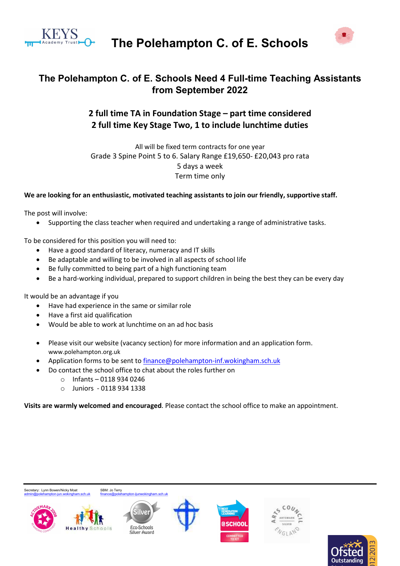

The Polehampton C. of E. Schools



## The Polehampton C. of E. Schools Need 4 Full-time Teaching Assistants from September 2022

## 2 full time TA in Foundation Stage – part time considered 2 full time Key Stage Two, 1 to include lunchtime duties

All will be fixed term contracts for one year Grade 3 Spine Point 5 to 6. Salary Range £19,650- £20,043 pro rata 5 days a week Term time only

## We are looking for an enthusiastic, motivated teaching assistants to join our friendly, supportive staff.

The post will involve:

Supporting the class teacher when required and undertaking a range of administrative tasks.

To be considered for this position you will need to:

- Have a good standard of literacy, numeracy and IT skills
- Be adaptable and willing to be involved in all aspects of school life
- Be fully committed to being part of a high functioning team
- Be a hard-working individual, prepared to support children in being the best they can be every day

It would be an advantage if you

- Have had experience in the same or similar role
- Have a first aid qualification
- Would be able to work at lunchtime on an ad hoc basis
- Please visit our website (vacancy section) for more information and an application form. www.polehampton.org.uk
- Application forms to be sent to finance@polehampton-inf.wokingham.sch.uk
- Do contact the school office to chat about the roles further on
	- o Infants 0118 934 0246
	- o Juniors 0118 934 1338

Visits are warmly welcomed and encouraged. Please contact the school office to make an appointment.